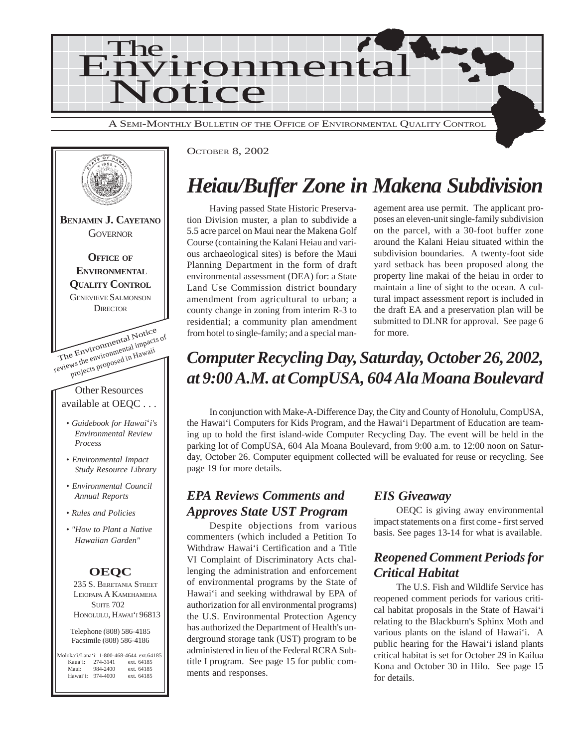



## *Heiau/Buffer Zone in Makena Subdivision*

Having passed State Historic Preservation Division muster, a plan to subdivide a 5.5 acre parcel on Maui near the Makena Golf Course (containing the Kalani Heiau and various archaeological sites) is before the Maui Planning Department in the form of draft environmental assessment (DEA) for: a State Land Use Commission district boundary amendment from agricultural to urban; a county change in zoning from interim R-3 to residential; a community plan amendment from hotel to single-family; and a special management area use permit. The applicant proposes an eleven-unit single-family subdivision on the parcel, with a 30-foot buffer zone around the Kalani Heiau situated within the subdivision boundaries. A twenty-foot side yard setback has been proposed along the property line makai of the heiau in order to maintain a line of sight to the ocean. A cultural impact assessment report is included in the draft EA and a preservation plan will be submitted to DLNR for approval. See page 6 for more.

## *Computer Recycling Day, Saturday, October 26, 2002, at 9:00 A.M. at CompUSA, 604 Ala Moana Boulevard*

In conjunction with Make-A-Difference Day, the City and County of Honolulu, CompUSA, the Hawai'i Computers for Kids Program, and the Hawai'i Department of Education are teaming up to hold the first island-wide Computer Recycling Day. The event will be held in the parking lot of CompUSA, 604 Ala Moana Boulevard, from 9:00 a.m. to 12:00 noon on Saturday, October 26. Computer equipment collected will be evaluated for reuse or recycling. See page 19 for more details.

### *EPA Reviews Comments and Approves State UST Program*

Despite objections from various commenters (which included a Petition To Withdraw Hawai'i Certification and a Title VI Complaint of Discriminatory Acts challenging the administration and enforcement of environmental programs by the State of Hawai'i and seeking withdrawal by EPA of authorization for all environmental programs) the U.S. Environmental Protection Agency has authorized the Department of Health's underground storage tank (UST) program to be administered in lieu of the Federal RCRA Subtitle I program. See page 15 for public comments and responses.

### *EIS Giveaway*

OEQC is giving away environmental impact statements on a first come - first served basis. See pages 13-14 for what is available.

## *Reopened Comment Periods for Critical Habitat*

The U.S. Fish and Wildlife Service has reopened comment periods for various critical habitat proposals in the State of Hawai'i relating to the Blackburn's Sphinx Moth and various plants on the island of Hawai'i. A public hearing for the Hawai'i island plants critical habitat is set for October 29 in Kailua Kona and October 30 in Hilo. See page 15 for details.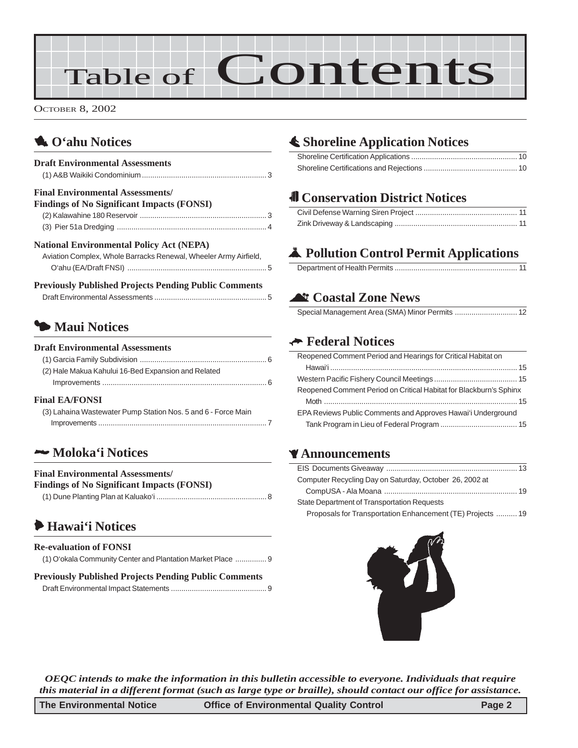# Table of Contents

OCTOBER 8, 2002

## 1 **O'ahu Notices**

| <b>Draft Environmental Assessments</b>                           |  |
|------------------------------------------------------------------|--|
| <b>Final Environmental Assessments/</b>                          |  |
| <b>Findings of No Significant Impacts (FONSI)</b>                |  |
|                                                                  |  |
|                                                                  |  |
| <b>National Environmental Policy Act (NEPA)</b>                  |  |
| Aviation Complex, Whole Barracks Renewal, Wheeler Army Airfield, |  |
|                                                                  |  |

| <b>Previously Published Projects Pending Public Comments</b> |  |
|--------------------------------------------------------------|--|
|                                                              |  |

## 3 **Maui Notices**

#### **Draft Environmental Assessments**

| (2) Hale Makua Kahului 16-Bed Expansion and Related |
|-----------------------------------------------------|
|                                                     |
| $E_{\text{mod}}$ if a $E$ onict                     |

#### **Final EA/FONSI**

| (3) Lahaina Wastewater Pump Station Nos. 5 and 6 - Force Main |
|---------------------------------------------------------------|
|                                                               |

## 2 **Moloka'i Notices**

#### **Final Environmental Assessments/**

| <b>Findings of No Significant Impacts (FONSI)</b> |  |  |  |
|---------------------------------------------------|--|--|--|
|---------------------------------------------------|--|--|--|

|--|

## 6 **Hawai'i Notices**

| <b>Re-evaluation of FONSI</b>                               |
|-------------------------------------------------------------|
| (1) O'okala Community Center and Plantation Market Place  9 |

#### **Previously Published Projects Pending Public Comments**

[Draft Environmental Impact Statements](#page-8-0) .............................................. 9

## s **Shoreline Application Notices**

## $\blacksquare$  Conservation District Notices

## V **Pollution Control Permit Applications**

### ^ **Coastal Zone News**

### K **Federal Notices**

| Reopened Comment Period and Hearings for Critical Habitat on       |
|--------------------------------------------------------------------|
|                                                                    |
|                                                                    |
| Reopened Comment Period on Critical Habitat for Blackburn's Sphinx |
|                                                                    |
| EPA Reviews Public Comments and Approves Hawai'i Underground       |
|                                                                    |
|                                                                    |

### Z**Announcements**

| Computer Recycling Day on Saturday, October 26, 2002 at    |
|------------------------------------------------------------|
|                                                            |
| State Department of Transportation Requests                |
| Proposals for Transportation Enhancement (TE) Projects  19 |



*OEQC intends to make the information in this bulletin accessible to everyone. Individuals that require this material in a different format (such as large type or braille), should contact our office for assistance.*

| The Environmental Notice | <b>Office of Environmental Quality Control</b> | Page 2 |
|--------------------------|------------------------------------------------|--------|
|--------------------------|------------------------------------------------|--------|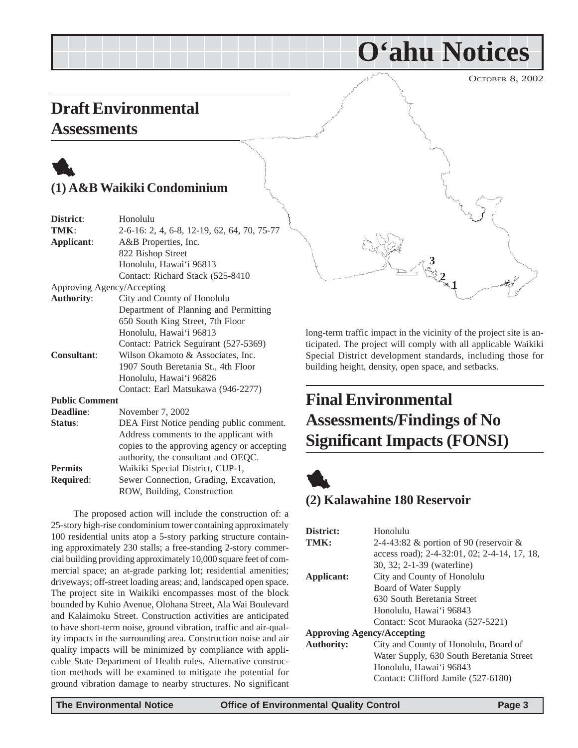**O'ahu Notices**

## <span id="page-2-0"></span>**Draft Environmental**

### **Assessments**

## 1 **(1) A&B Waikiki Condominium**

| District:             | Honolulu                                    |
|-----------------------|---------------------------------------------|
| TMK:                  | 2-6-16: 2, 4, 6-8, 12-19, 62, 64, 70, 75-77 |
| Applicant:            | A&B Properties, Inc.                        |
|                       | 822 Bishop Street                           |
|                       | Honolulu, Hawai'i 96813                     |
|                       | Contact: Richard Stack (525-8410)           |
|                       | Approving Agency/Accepting                  |
| <b>Authority:</b>     | City and County of Honolulu                 |
|                       | Department of Planning and Permitting       |
|                       | 650 South King Street, 7th Floor            |
|                       | Honolulu, Hawai'i 96813                     |
|                       | Contact: Patrick Seguirant (527-5369)       |
| <b>Consultant:</b>    | Wilson Okamoto & Associates, Inc.           |
|                       | 1907 South Beretania St., 4th Floor         |
|                       | Honolulu, Hawai'i 96826                     |
|                       | Contact: Earl Matsukawa (946-2277)          |
| <b>Public Comment</b> |                                             |
| Deadline:             | November 7, 2002                            |
| Status:               | DEA First Notice pending public comment.    |
|                       | Address comments to the applicant with      |
|                       | copies to the approving agency or accepting |
|                       | authority, the consultant and OEQC.         |
| <b>Permits</b>        | Waikiki Special District, CUP-1,            |

**Required**: Sewer Connection, Grading, Excavation, ROW, Building, Construction

The proposed action will include the construction of: a 25-story high-rise condominium tower containing approximately 100 residential units atop a 5-story parking structure containing approximately 230 stalls; a free-standing 2-story commercial building providing approximately 10,000 square feet of commercial space; an at-grade parking lot; residential amenities; driveways; off-street loading areas; and, landscaped open space. The project site in Waikiki encompasses most of the block bounded by Kuhio Avenue, Olohana Street, Ala Wai Boulevard and Kalaimoku Street. Construction activities are anticipated to have short-term noise, ground vibration, traffic and air-quality impacts in the surrounding area. Construction noise and air quality impacts will be minimized by compliance with applicable State Department of Health rules. Alternative construction methods will be examined to mitigate the potential for ground vibration damage to nearby structures. No significant 1

building height, density, open space, and setbacks.

**Assessments/Findings of No**

**Significant Impacts (FONSI)**

**Final Environmental**

long-term traffic impact in the vicinity of the project site is anticipated. The project will comply with all applicable Waikiki Special District development standards, including those for

**3**

**1 2**

**(2) Kalawahine 180 Reservoir**

| District:                         | Honolulu                                     |  |
|-----------------------------------|----------------------------------------------|--|
| TMK:                              | 2-4-43:82 $\&$ portion of 90 (reservoir $\&$ |  |
|                                   | access road); 2-4-32:01, 02; 2-4-14, 17, 18, |  |
|                                   | 30, 32; 2-1-39 (waterline)                   |  |
| Applicant:                        | City and County of Honolulu                  |  |
|                                   | Board of Water Supply                        |  |
|                                   | 630 South Beretania Street                   |  |
|                                   | Honolulu, Hawai'i 96843                      |  |
|                                   | Contact: Scot Muraoka (527-5221)             |  |
| <b>Approving Agency/Accepting</b> |                                              |  |
| <b>Authority:</b>                 | City and County of Honolulu, Board of        |  |
|                                   | Water Supply, 630 South Beretania Street     |  |
|                                   | Honolulu, Hawai'i 96843                      |  |
|                                   | Contact: Clifford Jamile (527-6180)          |  |
|                                   |                                              |  |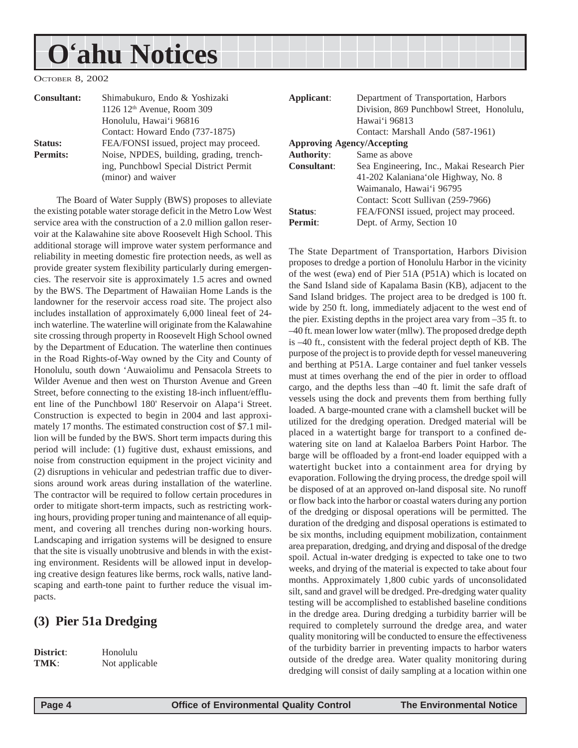# <span id="page-3-0"></span>**O'ahu Notices**

OCTOBER 8, 2002

| <b>Consultant:</b> | Shimabukuro, Endo & Yoshizaki<br>1126 $12th$ Avenue, Room 309 | Applicant:                        | Department of Transportation, Harbors<br>Division, 869 Punchbowl Street, Honolulu |
|--------------------|---------------------------------------------------------------|-----------------------------------|-----------------------------------------------------------------------------------|
|                    | Honolulu, Hawai'i 96816                                       |                                   | Hawai'i 96813                                                                     |
|                    | Contact: Howard Endo (737-1875)                               |                                   | Contact: Marshall Ando (587-1961)                                                 |
| Status:            | FEA/FONSI issued, project may proceed.                        | <b>Approving Agency/Accepting</b> |                                                                                   |
| <b>Permits:</b>    | Noise, NPDES, building, grading, trench-                      | <b>Authority:</b>                 | Same as above                                                                     |
|                    | ing, Punchbowl Special District Permit                        | <b>Consultant:</b>                | Sea Engineering, Inc., Makai Research Pie                                         |
|                    | (minor) and waiver                                            |                                   | 41-202 Kalaniana'ole Highway, No. 8                                               |
|                    |                                                               |                                   | Waimanalo, Hawai'i 96795                                                          |

The Board of Water Supply (BWS) proposes to alleviate the existing potable water storage deficit in the Metro Low West service area with the construction of a 2.0 million gallon reservoir at the Kalawahine site above Roosevelt High School. This additional storage will improve water system performance and reliability in meeting domestic fire protection needs, as well as provide greater system flexibility particularly during emergencies. The reservoir site is approximately 1.5 acres and owned by the BWS. The Department of Hawaiian Home Lands is the landowner for the reservoir access road site. The project also includes installation of approximately 6,000 lineal feet of 24 inch waterline. The waterline will originate from the Kalawahine site crossing through property in Roosevelt High School owned by the Department of Education. The waterline then continues in the Road Rights-of-Way owned by the City and County of Honolulu, south down 'Auwaiolimu and Pensacola Streets to Wilder Avenue and then west on Thurston Avenue and Green Street, before connecting to the existing 18-inch influent/effluent line of the Punchbowl 180' Reservoir on Alapa'i Street. Construction is expected to begin in 2004 and last approximately 17 months. The estimated construction cost of \$7.1 million will be funded by the BWS. Short term impacts during this period will include: (1) fugitive dust, exhaust emissions, and noise from construction equipment in the project vicinity and (2) disruptions in vehicular and pedestrian traffic due to diversions around work areas during installation of the waterline. The contractor will be required to follow certain procedures in order to mitigate short-term impacts, such as restricting working hours, providing proper tuning and maintenance of all equipment, and covering all trenches during non-working hours. Landscaping and irrigation systems will be designed to ensure that the site is visually unobtrusive and blends in with the existing environment. Residents will be allowed input in developing creative design features like berms, rock walls, native landscaping and earth-tone paint to further reduce the visual impacts.

### **(3) Pier 51a Dredging**

**District**: Honolulu **TMK**: Not applicable

| Applicant:          | Department of Transportation, Harbors      |  |  |
|---------------------|--------------------------------------------|--|--|
|                     | Division, 869 Punchbowl Street, Honolulu,  |  |  |
|                     | Hawai'i 96813                              |  |  |
|                     | Contact: Marshall Ando (587-1961)          |  |  |
|                     | <b>Approving Agency/Accepting</b>          |  |  |
| <b>Authority:</b>   | Same as above                              |  |  |
| Consultant:         | Sea Engineering, Inc., Makai Research Pier |  |  |
|                     | 41-202 Kalaniana ole Highway, No. 8        |  |  |
|                     | Waimanalo, Hawai'i 96795                   |  |  |
|                     | Contact: Scott Sullivan (259-7966)         |  |  |
| Status:             | FEA/FONSI issued, project may proceed.     |  |  |
| Permit <sup>.</sup> | Dept. of Army, Section 10                  |  |  |
|                     |                                            |  |  |

The State Department of Transportation, Harbors Division proposes to dredge a portion of Honolulu Harbor in the vicinity of the west (ewa) end of Pier 51A (P51A) which is located on the Sand Island side of Kapalama Basin (KB), adjacent to the Sand Island bridges. The project area to be dredged is 100 ft. wide by 250 ft. long, immediately adjacent to the west end of the pier. Existing depths in the project area vary from –35 ft. to –40 ft. mean lower low water (mllw). The proposed dredge depth is –40 ft., consistent with the federal project depth of KB. The purpose of the project is to provide depth for vessel maneuvering and berthing at P51A. Large container and fuel tanker vessels must at times overhang the end of the pier in order to offload cargo, and the depths less than –40 ft. limit the safe draft of vessels using the dock and prevents them from berthing fully loaded. A barge-mounted crane with a clamshell bucket will be utilized for the dredging operation. Dredged material will be placed in a watertight barge for transport to a confined dewatering site on land at Kalaeloa Barbers Point Harbor. The barge will be offloaded by a front-end loader equipped with a watertight bucket into a containment area for drying by evaporation. Following the drying process, the dredge spoil will be disposed of at an approved on-land disposal site. No runoff or flow back into the harbor or coastal waters during any portion of the dredging or disposal operations will be permitted. The duration of the dredging and disposal operations is estimated to be six months, including equipment mobilization, containment area preparation, dredging, and drying and disposal of the dredge spoil. Actual in-water dredging is expected to take one to two weeks, and drying of the material is expected to take about four months. Approximately 1,800 cubic yards of unconsolidated silt, sand and gravel will be dredged. Pre-dredging water quality testing will be accomplished to established baseline conditions in the dredge area. During dredging a turbidity barrier will be required to completely surround the dredge area, and water quality monitoring will be conducted to ensure the effectiveness of the turbidity barrier in preventing impacts to harbor waters outside of the dredge area. Water quality monitoring during dredging will consist of daily sampling at a location within one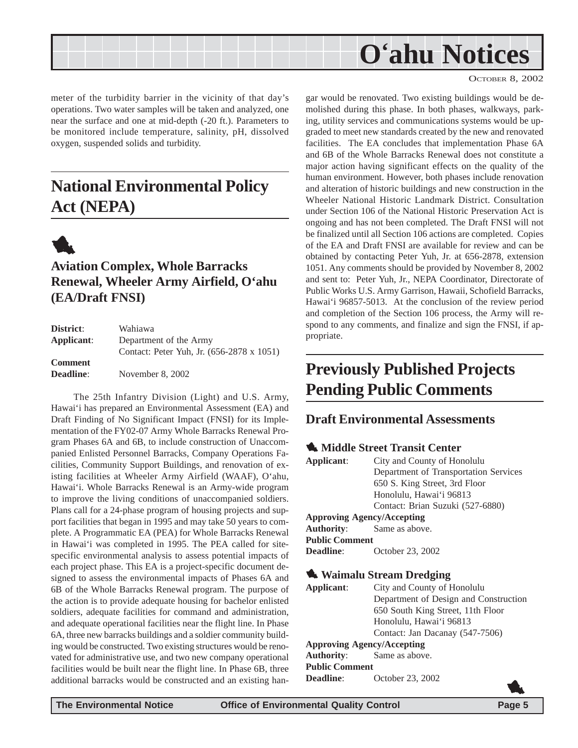<span id="page-4-0"></span>

meter of the turbidity barrier in the vicinity of that day's operations. Two water samples will be taken and analyzed, one near the surface and one at mid-depth (-20 ft.). Parameters to be monitored include temperature, salinity, pH, dissolved oxygen, suspended solids and turbidity.

## **National Environmental Policy Act (NEPA)**



## **Aviation Complex, Whole Barracks Renewal, Wheeler Army Airfield, O'ahu (EA/Draft FNSI)**

| District:        | Wahiawa                                   |
|------------------|-------------------------------------------|
| Applicant:       | Department of the Army                    |
|                  | Contact: Peter Yuh, Jr. (656-2878 x 1051) |
| <b>Comment</b>   |                                           |
| <b>Deadline:</b> | November 8, 2002                          |

The 25th Infantry Division (Light) and U.S. Army, Hawai'i has prepared an Environmental Assessment (EA) and Draft Finding of No Significant Impact (FNSI) for its Implementation of the FY02-07 Army Whole Barracks Renewal Program Phases 6A and 6B, to include construction of Unaccompanied Enlisted Personnel Barracks, Company Operations Facilities, Community Support Buildings, and renovation of existing facilities at Wheeler Army Airfield (WAAF), O'ahu, Hawai'i. Whole Barracks Renewal is an Army-wide program to improve the living conditions of unaccompanied soldiers. Plans call for a 24-phase program of housing projects and support facilities that began in 1995 and may take 50 years to complete. A Programmatic EA (PEA) for Whole Barracks Renewal in Hawai'i was completed in 1995. The PEA called for sitespecific environmental analysis to assess potential impacts of each project phase. This EA is a project-specific document designed to assess the environmental impacts of Phases 6A and 6B of the Whole Barracks Renewal program. The purpose of the action is to provide adequate housing for bachelor enlisted soldiers, adequate facilities for command and administration, and adequate operational facilities near the flight line. In Phase 6A, three new barracks buildings and a soldier community building would be constructed. Two existing structures would be renovated for administrative use, and two new company operational facilities would be built near the flight line. In Phase 6B, three additional barracks would be constructed and an existing hangar would be renovated. Two existing buildings would be demolished during this phase. In both phases, walkways, parking, utility services and communications systems would be upgraded to meet new standards created by the new and renovated facilities. The EA concludes that implementation Phase 6A and 6B of the Whole Barracks Renewal does not constitute a major action having significant effects on the quality of the human environment. However, both phases include renovation and alteration of historic buildings and new construction in the Wheeler National Historic Landmark District. Consultation under Section 106 of the National Historic Preservation Act is ongoing and has not been completed. The Draft FNSI will not be finalized until all Section 106 actions are completed. Copies of the EA and Draft FNSI are available for review and can be obtained by contacting Peter Yuh, Jr. at 656-2878, extension 1051. Any comments should be provided by November 8, 2002 and sent to: Peter Yuh, Jr., NEPA Coordinator, Directorate of Public Works U.S. Army Garrison, Hawaii, Schofield Barracks, Hawai'i 96857-5013. At the conclusion of the review period and completion of the Section 106 process, the Army will respond to any comments, and finalize and sign the FNSI, if appropriate.

## **Previously Published Projects Pending Public Comments**

### **Draft Environmental Assessments**

## **1** Middle Street Transit Center

| Applicant:            | City and County of Honolulu           |  |  |
|-----------------------|---------------------------------------|--|--|
|                       | Department of Transportation Services |  |  |
|                       | 650 S. King Street, 3rd Floor         |  |  |
|                       | Honolulu, Hawai'i 96813               |  |  |
|                       | Contact: Brian Suzuki (527-6880)      |  |  |
|                       | <b>Approving Agency/Accepting</b>     |  |  |
|                       | <b>Authority:</b> Same as above.      |  |  |
| <b>Public Comment</b> |                                       |  |  |
| <b>Deadline:</b>      | October 23, 2002                      |  |  |
|                       |                                       |  |  |
|                       | $\mathbf{r}$ and $\mathbf{r}$         |  |  |

### **1.** Waimalu Stream Dredging

**Applicant**: City and County of Honolulu Department of Design and Construction 650 South King Street, 11th Floor Honolulu, Hawai'i 96813 Contact: Jan Dacanay (547-7506) **Approving Agency/Accepting Authority**: Same as above. **Public Comment Deadline:** October 23, 2002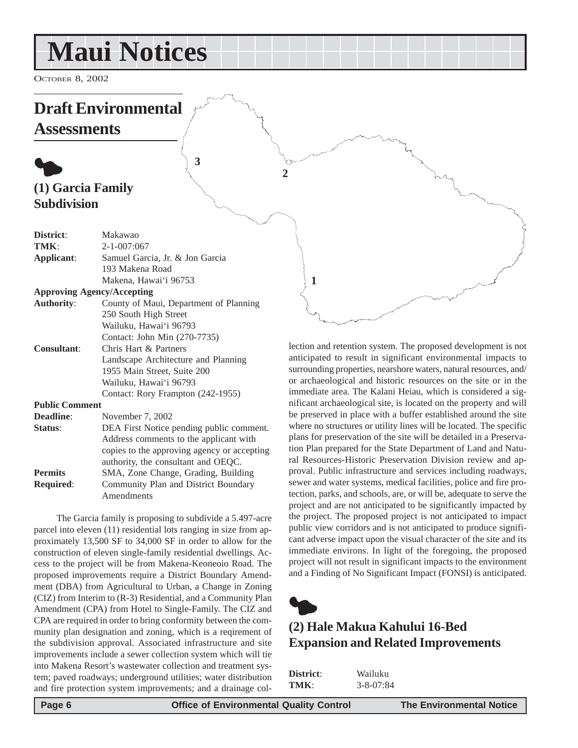# <span id="page-5-0"></span>**Maui Notices**

OCTOBER 8, 2002

## **Draft Environmental Assessments**

## $\bullet$ **(1) Garcia Family Subdivision**

| District:             | Makawao                                     |
|-----------------------|---------------------------------------------|
| TMK:                  | $2 - 1 - 007:067$                           |
| Applicant:            | Samuel Garcia, Jr. & Jon Garcia             |
|                       | 193 Makena Road                             |
|                       | Makena, Hawai'i 96753                       |
|                       | <b>Approving Agency/Accepting</b>           |
| <b>Authority:</b>     | County of Maui, Department of Planning      |
|                       | 250 South High Street                       |
|                       | Wailuku, Hawai'i 96793                      |
|                       | Contact: John Min (270-7735)                |
| <b>Consultant:</b>    | Chris Hart & Partners                       |
|                       | Landscape Architecture and Planning         |
|                       | 1955 Main Street, Suite 200                 |
|                       | Wailuku, Hawai'i 96793                      |
|                       | Contact: Rory Frampton (242-1955)           |
| <b>Public Comment</b> |                                             |
| Deadline:             | November 7, 2002                            |
| Status:               | DEA First Notice pending public comment.    |
|                       | Address comments to the applicant with      |
|                       | copies to the approving agency or accepting |
|                       | authority, the consultant and OEQC.         |
| <b>Permits</b>        | SMA, Zone Change, Grading, Building         |
| <b>Required:</b>      | Community Plan and District Boundary        |
|                       |                                             |

**3**

The Garcia family is proposing to subdivide a 5.497-acre parcel into eleven (11) residential lots ranging in size from approximately 13,500 SF to 34,000 SF in order to allow for the construction of eleven single-family residential dwellings. Access to the project will be from Makena-Keoneoio Road. The proposed improvements require a District Boundary Amendment (DBA) from Agricultural to Urban, a Change in Zoning (CIZ) from Interim to (R-3) Residential, and a Community Plan Amendment (CPA) from Hotel to Single-Family. The CIZ and CPA are required in order to bring conformity between the community plan designation and zoning, which is a reqirement of the subdivision approval. Associated infrastructure and site improvements include a sewer collection system which will tie into Makena Resort's wastewater collection and treatment system; paved roadways; underground utilities; water distribution and fire protection system improvements; and a drainage col-

Amendments

lection and retention system. The proposed development is not anticipated to result in significant environmental impacts to surrounding properties, nearshore waters, natural resources, and/ or archaeological and historic resources on the site or in the immediate area. The Kalani Heiau, which is considered a significant archaeological site, is located on the property and will be preserved in place with a buffer established around the site where no structures or utility lines will be located. The specific plans for preservation of the site will be detailed in a Preservation Plan prepared for the State Department of Land and Natural Resources-Historic Preservation Division review and approval. Public infrastructure and services including roadways, sewer and water systems, medical facilities, police and fire protection, parks, and schools, are, or will be, adequate to serve the project and are not anticipated to be significantly impacted by the project. The proposed project is not anticipated to impact public view corridors and is not anticipated to produce significant adverse impact upon the visual character of the site and its immediate environs. In light of the foregoing, the proposed project will not result in significant impacts to the environment and a Finding of No Significant Impact (FONSI) is anticipated.



**1**

**2**

## **(2) Hale Makua Kahului 16-Bed Expansion and Related Improvements**

| District: | Wailuku         |
|-----------|-----------------|
| TMK:      | $3 - 8 - 07:84$ |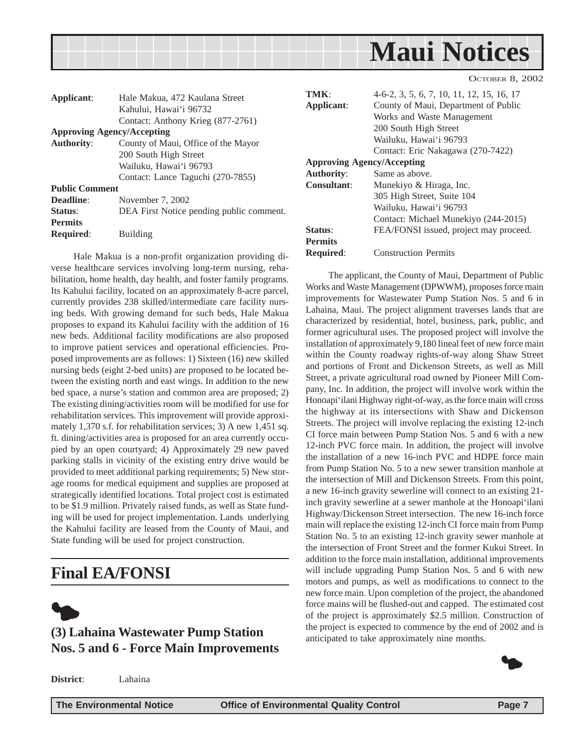<span id="page-6-0"></span>

The applicant, the County of Maui, Department of Public Works and Waste Management (DPWWM), proposes force main improvements for Wastewater Pump Station Nos. 5 and 6 in Lahaina, Maui. The project alignment traverses lands that are characterized by residential, hotel, business, park, public, and former agricultural uses. The proposed project will involve the installation of approximately 9,180 lineal feet of new force main within the County roadway rights-of-way along Shaw Street and portions of Front and Dickenson Streets, as well as Mill Street, a private agricultural road owned by Pioneer Mill Company, Inc. In addition, the project will involve work within the Honoapi'ilani Highway right-of-way, as the force main will cross the highway at its intersections with Shaw and Dickenson Streets. The project will involve replacing the existing 12-inch CI force main between Pump Station Nos. 5 and 6 with a new 12-inch PVC force main. In addition, the project will involve the installation of a new 16-inch PVC and HDPE force main from Pump Station No. 5 to a new sewer transition manhole at the intersection of Mill and Dickenson Streets. From this point, a new 16-inch gravity sewerline will connect to an existing 21 inch gravity sewerline at a sewer manhole at the Honoapi'ilani Highway/Dickenson Street intersection. The new 16-inch force main will replace the existing 12-inch CI force main from Pump Station No. 5 to an existing 12-inch gravity sewer manhole at the intersection of Front Street and the former Kukui Street. In addition to the force main installation, additional improvements will include upgrading Pump Station Nos. 5 and 6 with new motors and pumps, as well as modifications to connect to the new force main. Upon completion of the project, the abandoned force mains will be flushed-out and capped. The estimated cost of the project is approximately \$2.5 million. Construction of the project is expected to commence by the end of 2002 and is

| Applicant:<br><b>Authority:</b>        | Hale Makua, 472 Kaulana Street<br>Kahului, Hawai'i 96732<br>Contact: Anthony Krieg (877-2761)<br><b>Approving Agency/Accepting</b><br>County of Maui, Office of the Mayor<br>200 South High Street<br>Wailuku, Hawai'i 96793<br>Contact: Lance Taguchi (270-7855) | TMK:<br>Applicant:<br><b>Authority:</b> | 4-6-2, 3, 5, 6, 7, 10, 11, 12, 15, 16, 17<br>County of Maui, Department of Public<br>Works and Waste Management<br>200 South High Street<br>Wailuku, Hawai'i 96793<br>Contact: Eric Nakagawa (270-7422)<br><b>Approving Agency/Accepting</b><br>Same as above. |
|----------------------------------------|-------------------------------------------------------------------------------------------------------------------------------------------------------------------------------------------------------------------------------------------------------------------|-----------------------------------------|----------------------------------------------------------------------------------------------------------------------------------------------------------------------------------------------------------------------------------------------------------------|
| <b>Public Comment</b>                  |                                                                                                                                                                                                                                                                   | <b>Consultant:</b>                      | Munekiyo & Hiraga, Inc.                                                                                                                                                                                                                                        |
| Deadline:<br>Status:<br><b>Permits</b> | November 7, 2002<br>DEA First Notice pending public comment.                                                                                                                                                                                                      |                                         | 305 High Street, Suite 104<br>Wailuku, Hawai'i 96793<br>Contact: Michael Munekiyo (244-2015)                                                                                                                                                                   |
| <b>Required:</b>                       | <b>Building</b>                                                                                                                                                                                                                                                   | Status:<br><b>Permits</b>               | FEA/FONSI issued, project may proceed.                                                                                                                                                                                                                         |
|                                        | Hele Melue is a non mustit experiention meriding di                                                                                                                                                                                                               | <b>Required:</b>                        | <b>Construction Permits</b>                                                                                                                                                                                                                                    |

Hale Makua is a non-profit organization providing diverse healthcare services involving long-term nursing, rehabilitation, home health, day health, and foster family programs. Its Kahului facility, located on an approximately 8-acre parcel, currently provides 238 skilled/intermediate care facility nursing beds. With growing demand for such beds, Hale Makua proposes to expand its Kahului facility with the addition of 16 new beds. Additional facility modifications are also proposed to improve patient services and operational efficiencies. Proposed improvements are as follows: 1) Sixteen (16) new skilled nursing beds (eight 2-bed units) are proposed to be located between the existing north and east wings. In addition to the new bed space, a nurse's station and common area are proposed; 2) The existing dining/activities room will be modified for use for rehabilitation services. This improvement will provide approximately 1,370 s.f. for rehabilitation services; 3) A new 1,451 sq. ft. dining/activities area is proposed for an area currently occupied by an open courtyard; 4) Approximately 29 new paved parking stalls in vicinity of the existing entry drive would be provided to meet additional parking requirements; 5) New storage rooms for medical equipment and supplies are proposed at strategically identified locations. Total project cost is estimated to be \$1.9 million. Privately raised funds, as well as State funding will be used for project implementation. Lands underlying the Kahului facility are leased from the County of Maui, and State funding will be used for project construction.

## **Final EA/FONSI**



## **(3) Lahaina Wastewater Pump Station Nos. 5 and 6 - Force Main Improvements**

**District**: Lahaina

**The Environmental Notice Office of Environmental Quality Control Page 7**

anticipated to take approximately nine months.

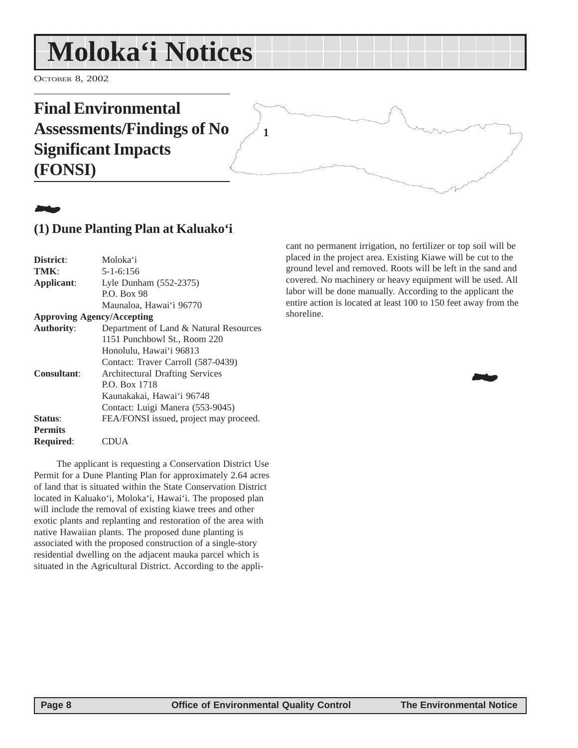# <span id="page-7-0"></span>**Moloka'i Notices**

OCTOBER 8, 2002

## **Final Environmental Assessments/Findings of No Significant Impacts (FONSI) 1**

## 21**2**

## **(1) Dune Planting Plan at Kaluako'i**

| Moloka'i                               |
|----------------------------------------|
| $5 - 1 - 6:156$                        |
| Lyle Dunham (552-2375)                 |
| <b>P.O. Box 98</b>                     |
| Maunaloa, Hawai'i 96770                |
| <b>Approving Agency/Accepting</b>      |
| Department of Land & Natural Resources |
| 1151 Punchbowl St., Room 220           |
| Honolulu, Hawai'i 96813                |
| Contact: Traver Carroll (587-0439)     |
| <b>Architectural Drafting Services</b> |
| P.O. Box 1718                          |
| Kaunakakai, Hawai'i 96748              |
| Contact: Luigi Manera (553-9045)       |
| FEA/FONSI issued, project may proceed. |
|                                        |
| JIIA                                   |
|                                        |

The applicant is requesting a Conservation District Use Permit for a Dune Planting Plan for approximately 2.64 acres of land that is situated within the State Conservation District located in Kaluako'i, Moloka'i, Hawai'i. The proposed plan will include the removal of existing kiawe trees and other exotic plants and replanting and restoration of the area with native Hawaiian plants. The proposed dune planting is associated with the proposed construction of a single-story residential dwelling on the adjacent mauka parcel which is situated in the Agricultural District. According to the applicant no permanent irrigation, no fertilizer or top soil will be placed in the project area. Existing Kiawe will be cut to the ground level and removed. Roots will be left in the sand and covered. No machinery or heavy equipment will be used. All labor will be done manually. According to the applicant the entire action is located at least 100 to 150 feet away from the shoreline.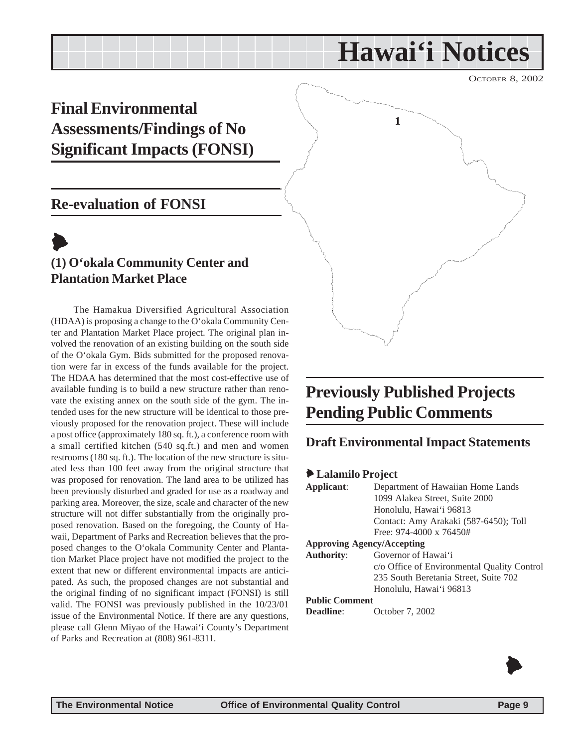# **Hawai'i Notices**

**1**

OCTOBER 8, 2002

## <span id="page-8-0"></span>**Final Environmental Assessments/Findings of No Significant Impacts (FONSI)**

## **Re-evaluation of FONSI**

## $\blacktriangleright$ **(1) O'okala Community Center and Plantation Market Place**

The Hamakua Diversified Agricultural Association (HDAA) is proposing a change to the O'okala Community Center and Plantation Market Place project. The original plan involved the renovation of an existing building on the south side of the O'okala Gym. Bids submitted for the proposed renovation were far in excess of the funds available for the project. The HDAA has determined that the most cost-effective use of available funding is to build a new structure rather than renovate the existing annex on the south side of the gym. The intended uses for the new structure will be identical to those previously proposed for the renovation project. These will include a post office (approximately 180 sq. ft.), a conference room with a small certified kitchen (540 sq.ft.) and men and women restrooms (180 sq. ft.). The location of the new structure is situated less than 100 feet away from the original structure that was proposed for renovation. The land area to be utilized has been previously disturbed and graded for use as a roadway and parking area. Moreover, the size, scale and character of the new structure will not differ substantially from the originally proposed renovation. Based on the foregoing, the County of Hawaii, Department of Parks and Recreation believes that the proposed changes to the O'okala Community Center and Plantation Market Place project have not modified the project to the extent that new or different environmental impacts are anticipated. As such, the proposed changes are not substantial and the original finding of no significant impact (FONSI) is still valid. The FONSI was previously published in the 10/23/01 issue of the Environmental Notice. If there are any questions, please call Glenn Miyao of the Hawai'i County's Department of Parks and Recreation at (808) 961-8311.

## **Previously Published Projects Pending Public Comments**

## **Draft Environmental Impact Statements**

#### 6 **Lalamilo Project**

| Applicant:                        | Department of Hawaiian Home Lands           |  |
|-----------------------------------|---------------------------------------------|--|
|                                   | 1099 Alakea Street, Suite 2000              |  |
|                                   | Honolulu, Hawai'i 96813                     |  |
|                                   | Contact: Amy Arakaki (587-6450); Toll       |  |
|                                   | Free: $974-4000 \times 76450#$              |  |
| <b>Approving Agency/Accepting</b> |                                             |  |
| <b>Authority:</b>                 | Governor of Hawai'i                         |  |
|                                   | c/o Office of Environmental Quality Control |  |
|                                   | 235 South Beretania Street, Suite 702       |  |
|                                   | Honolulu, Hawai'i 96813                     |  |
| <b>Public Comment</b>             |                                             |  |
| Deadline:                         | October 7, 2002                             |  |

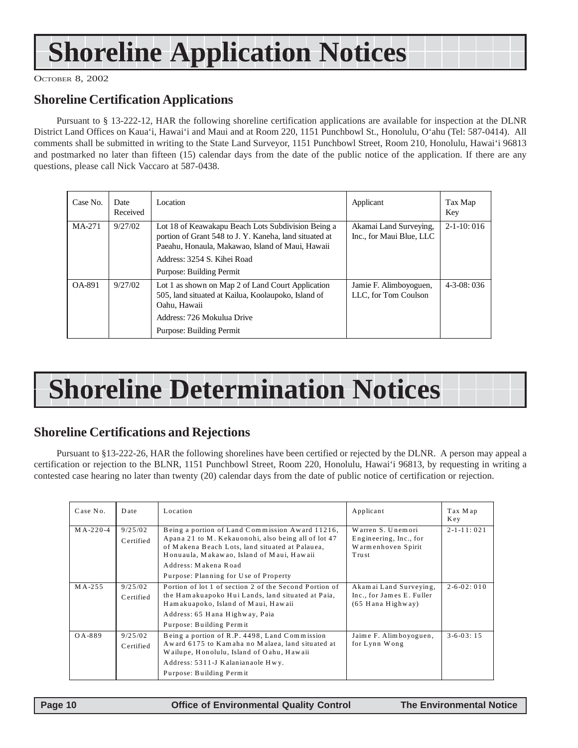# **Shoreline Application Notices**

OCTOBER 8, 2002

### **Shoreline Certification Applications**

Pursuant to § 13-222-12, HAR the following shoreline certification applications are available for inspection at the DLNR District Land Offices on Kaua'i, Hawai'i and Maui and at Room 220, 1151 Punchbowl St., Honolulu, O'ahu (Tel: 587-0414). All comments shall be submitted in writing to the State Land Surveyor, 1151 Punchbowl Street, Room 210, Honolulu, Hawai'i 96813 and postmarked no later than fifteen (15) calendar days from the date of the public notice of the application. If there are any questions, please call Nick Vaccaro at 587-0438.

| Case No. | Date<br>Received | Location                                                                                                                                                                                                                    | Applicant                                          | Tax Map<br>Key   |
|----------|------------------|-----------------------------------------------------------------------------------------------------------------------------------------------------------------------------------------------------------------------------|----------------------------------------------------|------------------|
| MA-271   | 9/27/02          | Lot 18 of Keawakapu Beach Lots Subdivision Being a<br>portion of Grant 548 to J. Y. Kaneha, land situated at<br>Paeahu, Honaula, Makawao, Island of Maui, Hawaii<br>Address: 3254 S. Kihei Road<br>Purpose: Building Permit | Akamai Land Surveying,<br>Inc., for Maui Blue, LLC | $2-1-10:016$     |
| OA-891   | 9/27/02          | Lot 1 as shown on Map 2 of Land Court Application<br>505, land situated at Kailua, Koolaupoko, Island of<br>Oahu, Hawaii<br>Address: 726 Mokulua Drive<br>Purpose: Building Permit                                          | Jamie F. Alimboyoguen,<br>LLC, for Tom Coulson     | $4 - 3 - 08:036$ |

# **Shoreline Determination Notices**

## **Shoreline Certifications and Rejections**

Pursuant to §13-222-26, HAR the following shorelines have been certified or rejected by the DLNR. A person may appeal a certification or rejection to the BLNR, 1151 Punchbowl Street, Room 220, Honolulu, Hawai'i 96813, by requesting in writing a contested case hearing no later than twenty (20) calendar days from the date of public notice of certification or rejection.

| Case No.       | Date                 | Location                                                                                                                                                                                                                                                                | Applicant                                                                  | Tax Map<br>Key     |
|----------------|----------------------|-------------------------------------------------------------------------------------------------------------------------------------------------------------------------------------------------------------------------------------------------------------------------|----------------------------------------------------------------------------|--------------------|
| $MA - 220 - 4$ | 9/25/02<br>Certified | Being a portion of Land Commission Award 11216,<br>Apana 21 to M. Kekauonohi, also being all of lot 47<br>of Makena Beach Lots, land situated at Palauea,<br>Honuaula, Makawao, Island of Maui, Hawaii<br>Address: Makena Road<br>Purpose: Planning for Use of Property | Warren S. Unemori<br>Engineering, Inc., for<br>Warmenhoven Spirit<br>Trust | $2 - 1 - 11:021$   |
| MA-255         | 9/25/02<br>Certified | Portion of lot 1 of section 2 of the Second Portion of<br>the Hamakuapoko Hui Lands, land situated at Paia,<br>Hamakuapoko, Island of Maui, Hawaii<br>Address: 65 Hana Highway, Paia<br>Purpose: Building Permit                                                        | Akamai Land Surveying,<br>Inc., for James E. Fuller<br>$(65$ Hana Highway) | $2 - 6 - 02 : 010$ |
| QA-889         | 9/25/02<br>Certified | Being a portion of R.P. 4498, Land Commission<br>Award 6175 to Kamaha no Malaea, land situated at<br>Wailupe, Honolulu, Island of Oahu, Hawaii<br>Address: 5311-J Kalanianaole Hwy.<br>Purpose: Building Permit                                                         | Jaime F. Alimboyoguen,<br>for Lynn Wong                                    | $3 - 6 - 03 : 15$  |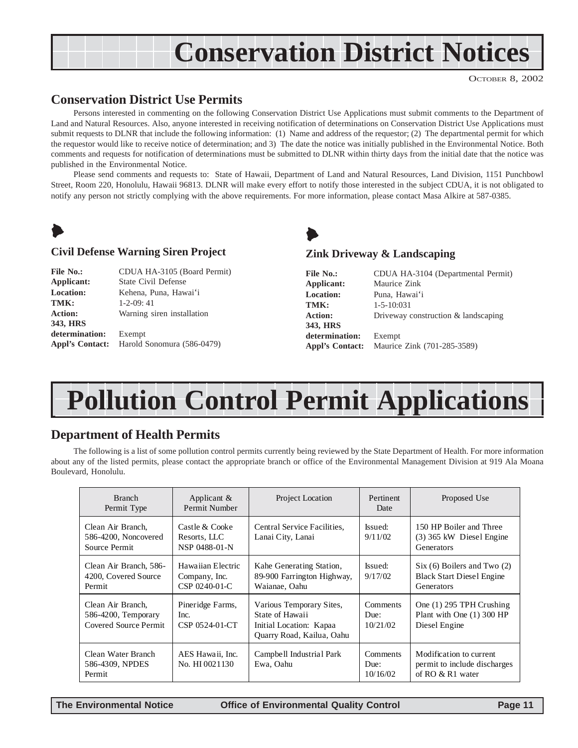# <span id="page-10-0"></span>**Conservation District Notices**

OCTOBER 8, 2002

### **Conservation District Use Permits**

Persons interested in commenting on the following Conservation District Use Applications must submit comments to the Department of Land and Natural Resources. Also, anyone interested in receiving notification of determinations on Conservation District Use Applications must submit requests to DLNR that include the following information: (1) Name and address of the requestor; (2) The departmental permit for which the requestor would like to receive notice of determination; and 3) The date the notice was initially published in the Environmental Notice. Both comments and requests for notification of determinations must be submitted to DLNR within thirty days from the initial date that the notice was published in the Environmental Notice.

Please send comments and requests to: State of Hawaii, Department of Land and Natural Resources, Land Division, 1151 Punchbowl Street, Room 220, Honolulu, Hawaii 96813. DLNR will make every effort to notify those interested in the subject CDUA, it is not obligated to notify any person not strictly complying with the above requirements. For more information, please contact Masa Alkire at 587-0385.



#### **Civil Defense Warning Siren Project**

| <b>File No.:</b> | CDUA HA-3105 (Board Permit)                |
|------------------|--------------------------------------------|
| Applicant:       | <b>State Civil Defense</b>                 |
| <b>Location:</b> | Kehena, Puna, Hawai'i                      |
| TMK:             | $1 - 2 - 09:41$                            |
| <b>Action:</b>   | Warning siren installation                 |
| 343, HRS         |                                            |
| determination:   | Exempt                                     |
|                  | Appl's Contact: Harold Sonomura (586-0479) |



#### **Zink Driveway & Landscaping**

| <b>File No.:</b>       | CDUA HA-3104 (Departmental Permit)  |
|------------------------|-------------------------------------|
| Applicant:             | Maurice Zink                        |
| <b>Location:</b>       | Puna, Hawai'i                       |
| TMK:                   | $1 - 5 - 10:031$                    |
| <b>Action:</b>         | Driveway construction & landscaping |
| 343, HRS               |                                     |
| determination:         | Exempt                              |
| <b>Appl's Contact:</b> | Maurice Zink (701-285-3589)         |

# **Pollution Control Permit Applications**

### **Department of Health Permits**

The following is a list of some pollution control permits currently being reviewed by the State Department of Health. For more information about any of the listed permits, please contact the appropriate branch or office of the Environmental Management Division at 919 Ala Moana Boulevard, Honolulu.

| <b>Branch</b><br>Permit Type                                      | Applicant $\&$<br>Permit Number                     | Project Location                                                                                    | Pertinent<br>Date            | Proposed Use                                                                  |
|-------------------------------------------------------------------|-----------------------------------------------------|-----------------------------------------------------------------------------------------------------|------------------------------|-------------------------------------------------------------------------------|
| Clean Air Branch.<br>586-4200, Noncovered<br>Source Permit        | Castle & Cooke<br>Resorts, LLC<br>NSP 0488-01-N     | Central Service Facilities.<br>Lanai City, Lanai                                                    | Issued:<br>9/11/02           | 150 HP Boiler and Three<br>$(3)$ 365 kW Diesel Engine<br>Generators           |
| Clean Air Branch, 586-<br>4200, Covered Source<br>Permit          | Hawaiian Electric<br>Company, Inc.<br>CSP 0240-01-C | Kahe Generating Station,<br>89-900 Farrington Highway,<br>Waianae, Oahu                             | Issued:<br>9/17/02           | Six (6) Boilers and Two (2)<br><b>Black Start Diesel Engine</b><br>Generators |
| Clean Air Branch,<br>586-4200, Temporary<br>Covered Source Permit | Pineridge Farms,<br>Inc.<br>CSP 0524-01-CT          | Various Temporary Sites,<br>State of Hawaii<br>Initial Location: Kapaa<br>Quarry Road, Kailua, Oahu | Comments<br>Due:<br>10/21/02 | One (1) 295 TPH Crushing<br>Plant with One (1) 300 HP<br>Diesel Engine        |
| Clean Water Branch<br>586-4309, NPDES<br>Permit                   | AES Hawaii, Inc.<br>No. HI 0021130                  | Campbell Industrial Park<br>Ewa, Oahu                                                               | Comments<br>Due:<br>10/16/02 | Modification to current<br>permit to include discharges<br>of RO & R1 water   |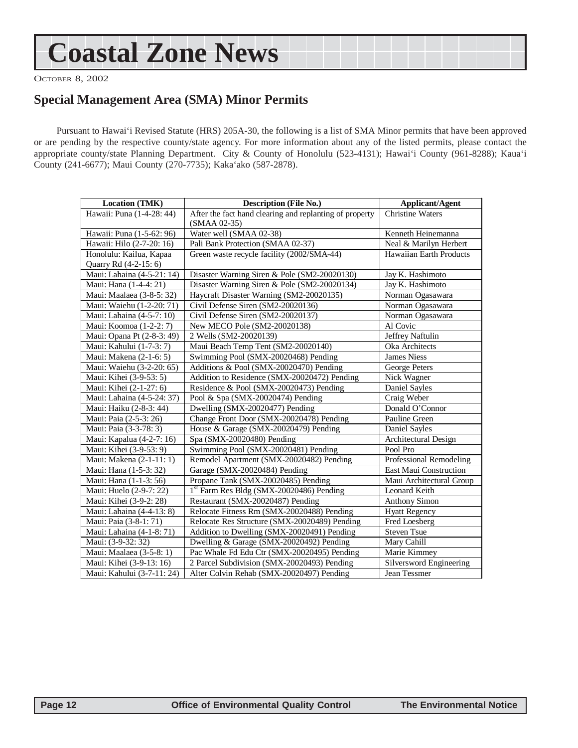# <span id="page-11-0"></span>**Coastal Zone News**

OCTOBER 8, 2002

### **Special Management Area (SMA) Minor Permits**

Pursuant to Hawai'i Revised Statute (HRS) 205A-30, the following is a list of SMA Minor permits that have been approved or are pending by the respective county/state agency. For more information about any of the listed permits, please contact the appropriate county/state Planning Department. City & County of Honolulu (523-4131); Hawai'i County (961-8288); Kaua'i County (241-6677); Maui County (270-7735); Kaka'ako (587-2878).

| <b>Location (TMK)</b>      | <b>Description (File No.)</b>                           | <b>Applicant/Agent</b>   |
|----------------------------|---------------------------------------------------------|--------------------------|
| Hawaii: Puna (1-4-28: 44)  | After the fact hand clearing and replanting of property | <b>Christine Waters</b>  |
|                            | (SMAA 02-35)                                            |                          |
| Hawaii: Puna (1-5-62: 96)  | Water well (SMAA 02-38)                                 | Kenneth Heinemanna       |
| Hawaii: Hilo (2-7-20: 16)  | Pali Bank Protection (SMAA 02-37)                       | Neal & Marilyn Herbert   |
| Honolulu: Kailua, Kapaa    | Green waste recycle facility (2002/SMA-44)              | Hawaiian Earth Products  |
| Quarry Rd (4-2-15: 6)      |                                                         |                          |
| Maui: Lahaina (4-5-21: 14) | Disaster Warning Siren & Pole (SM2-20020130)            | Jay K. Hashimoto         |
| Maui: Hana (1-4-4: 21)     | Disaster Warning Siren & Pole (SM2-20020134)            | Jay K. Hashimoto         |
| Maui: Maalaea (3-8-5: 32)  | Haycraft Disaster Warning (SM2-20020135)                | Norman Ogasawara         |
| Maui: Waiehu (1-2-20: 71)  | Civil Defense Siren (SM2-20020136)                      | Norman Ogasawara         |
| Maui: Lahaina (4-5-7: 10)  | Civil Defense Siren (SM2-20020137)                      | Norman Ogasawara         |
| Maui: Koomoa (1-2-2: 7)    | New MECO Pole (SM2-20020138)                            | Al Covic                 |
| Maui: Opana Pt (2-8-3: 49) | 2 Wells (SM2-20020139)                                  | Jeffrey Naftulin         |
| Maui: Kahului (1-7-3: 7)   | Maui Beach Temp Tent (SM2-20020140)                     | Oka Architects           |
| Maui: Makena (2-1-6: 5)    | Swimming Pool (SMX-20020468) Pending                    | <b>James Niess</b>       |
| Maui: Waiehu (3-2-20: 65)  | Additions & Pool (SMX-20020470) Pending                 | George Peters            |
| Maui: Kihei (3-9-53: 5)    | Addition to Residence (SMX-20020472) Pending            | Nick Wagner              |
| Maui: Kihei (2-1-27: 6)    | Residence & Pool (SMX-20020473) Pending                 | Daniel Sayles            |
| Maui: Lahaina (4-5-24: 37) | Pool & Spa (SMX-20020474) Pending                       | Craig Weber              |
| Maui: Haiku (2-8-3: 44)    | Dwelling (SMX-20020477) Pending                         | Donald O'Connor          |
| Maui: Paia (2-5-3: 26)     | Change Front Door (SMX-20020478) Pending                | Pauline Green            |
| Maui: Paia (3-3-78: 3)     | House & Garage (SMX-20020479) Pending                   | Daniel Sayles            |
| Maui: Kapalua (4-2-7: 16)  | Spa (SMX-20020480) Pending                              | Architectural Design     |
| Maui: Kihei (3-9-53: 9)    | Swimming Pool (SMX-20020481) Pending                    | Pool Pro                 |
| Maui: Makena (2-1-11: 1)   | Remodel Apartment (SMX-20020482) Pending                | Professional Remodeling  |
| Maui: Hana (1-5-3: 32)     | Garage (SMX-20020484) Pending                           | East Maui Construction   |
| Maui: Hana (1-1-3: 56)     | Propane Tank (SMX-20020485) Pending                     | Maui Architectural Group |
| Maui: Huelo (2-9-7: 22)    | <sup>1st</sup> Farm Res Bldg (SMX-20020486) Pending     | Leonard Keith            |
| Maui: Kihei (3-9-2: 28)    | Restaurant (SMX-20020487) Pending                       | <b>Anthony Simon</b>     |
| Maui: Lahaina (4-4-13: 8)  | Relocate Fitness Rm (SMX-20020488) Pending              | <b>Hyatt Regency</b>     |
| Maui: Paia (3-8-1: 71)     | Relocate Res Structure (SMX-20020489) Pending           | Fred Loesberg            |
| Maui: Lahaina (4-1-8: 71)  | Addition to Dwelling (SMX-20020491) Pending             | Steven Tsue              |
| Maui: (3-9-32: 32)         | Dwelling & Garage (SMX-20020492) Pending                | Mary Cahill              |
| Maui: Maalaea (3-5-8: 1)   | Pac Whale Fd Edu Ctr (SMX-20020495) Pending             | Marie Kimmey             |
| Maui: Kihei (3-9-13: 16)   | 2 Parcel Subdivision (SMX-20020493) Pending             | Silversword Engineering  |
| Maui: Kahului (3-7-11: 24) | Alter Colvin Rehab (SMX-20020497) Pending               | Jean Tessmer             |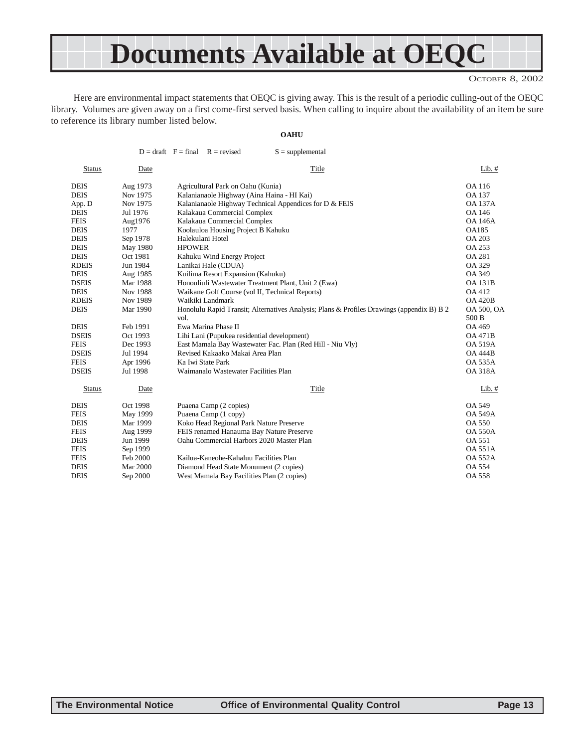# **Documents Available at OEQC**

OCTOBER 8, 2002

Here are environmental impact statements that OEQC is giving away. This is the result of a periodic culling-out of the OEQC library. Volumes are given away on a first come-first served basis. When calling to inquire about the availability of an item be sure to reference its library number listed below.

**OAHU**

|               |                 | $D = dr$ aft $F = final$ $R = revised$<br>$S =$ supplemental                                      |                            |
|---------------|-----------------|---------------------------------------------------------------------------------------------------|----------------------------|
| <b>Status</b> | Date            | Title                                                                                             | Lib. $#$                   |
| <b>DEIS</b>   | Aug 1973        | Agricultural Park on Oahu (Kunia)                                                                 | OA 116                     |
| <b>DEIS</b>   | Nov 1975        | Kalanianaole Highway (Aina Haina - HI Kai)                                                        | <b>OA 137</b>              |
| App. D        | Nov 1975        | Kalanianaole Highway Technical Appendices for D & FEIS                                            | <b>OA 137A</b>             |
| <b>DEIS</b>   | Jul 1976        | Kalakaua Commercial Complex                                                                       | OA 146                     |
| <b>FEIS</b>   | Aug1976         | Kalakaua Commercial Complex                                                                       | <b>OA 146A</b>             |
| <b>DEIS</b>   | 1977            | Koolauloa Housing Project B Kahuku                                                                | OA185                      |
| <b>DEIS</b>   | Sep 1978        | Halekulani Hotel                                                                                  | <b>OA 203</b>              |
| <b>DEIS</b>   | May 1980        | <b>HPOWER</b>                                                                                     | <b>OA 253</b>              |
| <b>DEIS</b>   | Oct 1981        | Kahuku Wind Energy Project                                                                        | <b>OA 281</b>              |
| <b>RDEIS</b>  | Jun 1984        | Lanikai Hale (CDUA)                                                                               | OA 329                     |
| <b>DEIS</b>   | Aug 1985        | Kuilima Resort Expansion (Kahuku)                                                                 | OA 349                     |
| <b>DSEIS</b>  | Mar 1988        | Honouliuli Wastewater Treatment Plant, Unit 2 (Ewa)                                               | <b>OA 131B</b>             |
| <b>DEIS</b>   | Nov 1988        | Waikane Golf Course (vol II, Technical Reports)                                                   | OA 412                     |
| <b>RDEIS</b>  | Nov 1989        | Waikiki Landmark                                                                                  | <b>OA 420B</b>             |
| <b>DEIS</b>   | Mar 1990        | Honolulu Rapid Transit; Alternatives Analysis; Plans & Profiles Drawings (appendix B) B 2<br>vol. | <b>OA 500, OA</b><br>500 B |
| <b>DEIS</b>   | Feb 1991        | Ewa Marina Phase II                                                                               | OA 469                     |
| <b>DSEIS</b>  | Oct 1993        | Lihi Lani (Pupukea residential development)                                                       | <b>OA 471B</b>             |
| <b>FEIS</b>   | Dec 1993        | East Mamala Bay Wastewater Fac. Plan (Red Hill - Niu Vly)                                         | <b>OA 519A</b>             |
| <b>DSEIS</b>  | Jul 1994        | Revised Kakaako Makai Area Plan                                                                   | <b>OA 444B</b>             |
| <b>FEIS</b>   | Apr 1996        | Ka Iwi State Park                                                                                 | <b>OA 535A</b>             |
| <b>DSEIS</b>  | Jul 1998        | Waimanalo Wastewater Facilities Plan                                                              | <b>OA 318A</b>             |
| <b>Status</b> | Date            | Title                                                                                             | Lib. $#$                   |
| <b>DEIS</b>   | Oct 1998        | Puaena Camp (2 copies)                                                                            | <b>OA 549</b>              |
| <b>FEIS</b>   | May 1999        | Puaena Camp (1 copy)                                                                              | <b>OA 549A</b>             |
| <b>DEIS</b>   | Mar 1999        | Koko Head Regional Park Nature Preserve                                                           | <b>OA 550</b>              |
| <b>FEIS</b>   | Aug 1999        | FEIS renamed Hanauma Bay Nature Preserve                                                          | <b>OA 550A</b>             |
| <b>DEIS</b>   | Jun 1999        | Oahu Commercial Harbors 2020 Master Plan                                                          | <b>OA 551</b>              |
| <b>FEIS</b>   | Sep 1999        |                                                                                                   | <b>OA 551A</b>             |
| <b>FEIS</b>   | Feb 2000        | Kailua-Kaneohe-Kahaluu Facilities Plan                                                            | <b>OA 552A</b>             |
| <b>DEIS</b>   | <b>Mar 2000</b> | Diamond Head State Monument (2 copies)                                                            | <b>OA 554</b>              |
| <b>DEIS</b>   | Sep 2000        | West Mamala Bay Facilities Plan (2 copies)                                                        | <b>OA 558</b>              |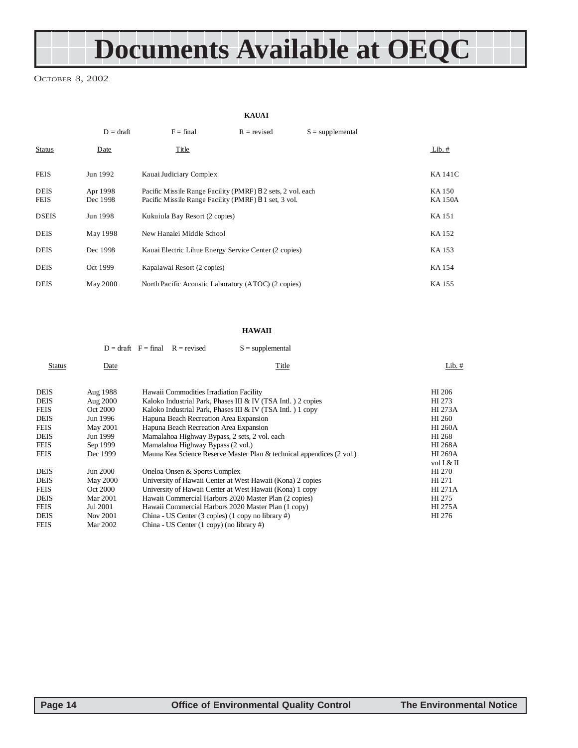# **Documents Available at OEQC**

OCTOBER 8, 2002

**KAUAI**

|                            | $D = dr$ aft         | $F = final$                                                                                                          | $R = revised$ | $S =$ supplemental |                         |
|----------------------------|----------------------|----------------------------------------------------------------------------------------------------------------------|---------------|--------------------|-------------------------|
| <b>Status</b>              | Date                 | Title                                                                                                                |               |                    | $Lib.$ #                |
| <b>FEIS</b>                | Jun 1992             | Kauai Judiciary Complex                                                                                              |               |                    | <b>KA141C</b>           |
| <b>DEIS</b><br><b>FEIS</b> | Apr 1998<br>Dec 1998 | Pacific Missile Range Facility (PMRF) B 2 sets, 2 vol. each<br>Pacific Missile Range Facility (PMRF) B 1 set, 3 vol. |               |                    | KA 150<br><b>KA150A</b> |
| <b>DSEIS</b>               | Jun 1998             | Kukuiula Bay Resort (2 copies)                                                                                       |               |                    | KA 151                  |
| <b>DEIS</b>                | May 1998             | New Hanalei Middle School                                                                                            |               |                    | KA 152                  |
| <b>DEIS</b>                | Dec 1998             | Kauai Electric Lihue Energy Service Center (2 copies)                                                                |               |                    | KA 153                  |
| <b>DEIS</b>                | Oct 1999             | Kapalawai Resort (2 copies)                                                                                          |               |                    | KA 154                  |
| <b>DEIS</b>                | May 2000             | North Pacific Acoustic Laboratory (ATOC) (2 copies)                                                                  |               |                    | KA 155                  |

#### **HAWAII**

|               |                 | $D = \text{draff}$ $F = \text{final}$<br>$R =$ revised<br>$S =$ supplemental |                |
|---------------|-----------------|------------------------------------------------------------------------------|----------------|
| <b>Status</b> | Date            | Title                                                                        | Lib. $#$       |
| <b>DEIS</b>   | Aug 1988        | Hawaii Commodities Irradiation Facility                                      | HI 206         |
| <b>DEIS</b>   | Aug 2000        | Kaloko Industrial Park, Phases III & IV (TSA Intl.) 2 copies                 | HI 273         |
| <b>FEIS</b>   | Oct 2000        | Kaloko Industrial Park, Phases III & IV (TSA Intl.) 1 copy                   | HI 273A        |
| <b>DEIS</b>   | Jun 1996        | Hapuna Beach Recreation Area Expansion                                       | HI 260         |
| <b>FEIS</b>   | May 2001        | Hapuna Beach Recreation Area Expansion                                       | <b>HI 260A</b> |
| <b>DEIS</b>   | Jun 1999        | Mamalahoa Highway Bypass, 2 sets, 2 vol. each                                | HI 268         |
| <b>FEIS</b>   | Sep 1999        | Mamalahoa Highway Bypass (2 vol.)                                            | <b>HI 268A</b> |
| <b>FEIS</b>   | Dec 1999        | Mauna Kea Science Reserve Master Plan & technical appendices (2 vol.)        | <b>HI 269A</b> |
|               |                 |                                                                              | vol I & II     |
| <b>DEIS</b>   | Jun 2000        | Oneloa Onsen & Sports Complex                                                | HI 270         |
| <b>DEIS</b>   | <b>May 2000</b> | University of Hawaii Center at West Hawaii (Kona) 2 copies                   | HI 271         |
| <b>FEIS</b>   | Oct 2000        | University of Hawaii Center at West Hawaii (Kona) 1 copy                     | <b>HI 271A</b> |
| <b>DEIS</b>   | <b>Mar 2001</b> | Hawaii Commercial Harbors 2020 Master Plan (2 copies)                        | HI 275         |
| <b>FEIS</b>   | Jul 2001        | Hawaii Commercial Harbors 2020 Master Plan (1 copy)                          | <b>HI 275A</b> |
| <b>DEIS</b>   | Nov 2001        | China - US Center (3 copies) (1 copy no library #)                           | HI 276         |
| <b>FEIS</b>   | Mar 2002        | China - US Center $(1 \text{ copy})$ (no library #)                          |                |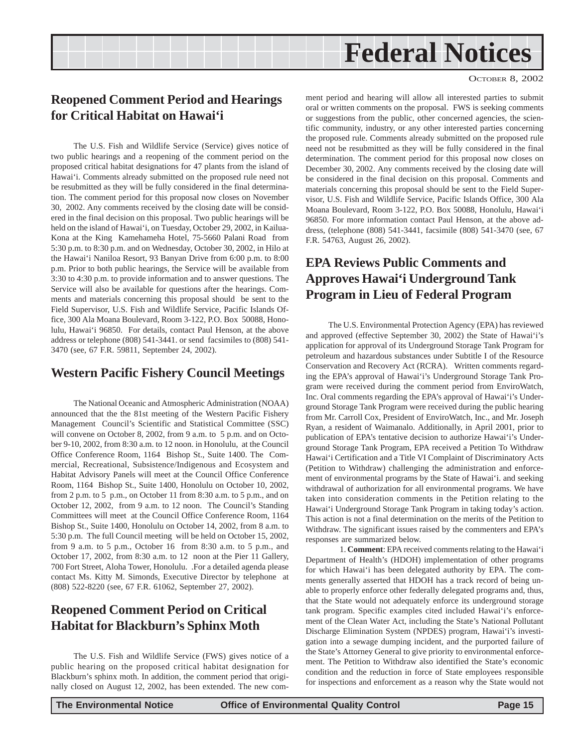#### OCTOBER 8, 2002

## <span id="page-14-0"></span>**Reopened Comment Period and Hearings for Critical Habitat on Hawai'i**

The U.S. Fish and Wildlife Service (Service) gives notice of two public hearings and a reopening of the comment period on the proposed critical habitat designations for 47 plants from the island of Hawai'i. Comments already submitted on the proposed rule need not be resubmitted as they will be fully considered in the final determination. The comment period for this proposal now closes on November 30, 2002. Any comments received by the closing date will be considered in the final decision on this proposal. Two public hearings will be held on the island of Hawai'i, on Tuesday, October 29, 2002, in Kailua-Kona at the King Kamehameha Hotel, 75-5660 Palani Road from 5:30 p.m. to 8:30 p.m. and on Wednesday, October 30, 2002, in Hilo at the Hawai'i Naniloa Resort, 93 Banyan Drive from 6:00 p.m. to 8:00 p.m. Prior to both public hearings, the Service will be available from 3:30 to 4:30 p.m. to provide information and to answer questions. The Service will also be available for questions after the hearings. Comments and materials concerning this proposal should be sent to the Field Supervisor, U.S. Fish and Wildlife Service, Pacific Islands Office, 300 Ala Moana Boulevard, Room 3-122, P.O. Box 50088, Honolulu, Hawai'i 96850. For details, contact Paul Henson, at the above address or telephone (808) 541-3441. or send facsimiles to (808) 541- 3470 (see, 67 F.R. 59811, September 24, 2002).

#### **Western Pacific Fishery Council Meetings**

The National Oceanic and Atmospheric Administration (NOAA) announced that the the 81st meeting of the Western Pacific Fishery Management Council's Scientific and Statistical Committee (SSC) will convene on October 8, 2002, from 9 a.m. to 5 p.m. and on October 9-10, 2002, from 8:30 a.m. to 12 noon. in Honolulu, at the Council Office Conference Room, 1164 Bishop St., Suite 1400. The Commercial, Recreational, Subsistence/Indigenous and Ecosystem and Habitat Advisory Panels will meet at the Council Office Conference Room, 1164 Bishop St., Suite 1400, Honolulu on October 10, 2002, from 2 p.m. to 5 p.m., on October 11 from 8:30 a.m. to 5 p.m., and on October 12, 2002, from 9 a.m. to 12 noon. The Council's Standing Committees will meet at the Council Office Conference Room, 1164 Bishop St., Suite 1400, Honolulu on October 14, 2002, from 8 a.m. to 5:30 p.m. The full Council meeting will be held on October 15, 2002, from 9 a.m. to 5 p.m., October 16 from 8:30 a.m. to 5 p.m., and October 17, 2002, from 8:30 a.m. to 12 noon at the Pier 11 Gallery, 700 Fort Street, Aloha Tower, Honolulu. .For a detailed agenda please contact Ms. Kitty M. Simonds, Executive Director by telephone at (808) 522-8220 (see, 67 F.R. 61062, September 27, 2002).

### **Reopened Comment Period on Critical Habitat for Blackburn's Sphinx Moth**

The U.S. Fish and Wildlife Service (FWS) gives notice of a public hearing on the proposed critical habitat designation for Blackburn's sphinx moth. In addition, the comment period that originally closed on August 12, 2002, has been extended. The new com-

ment period and hearing will allow all interested parties to submit oral or written comments on the proposal. FWS is seeking comments or suggestions from the public, other concerned agencies, the scientific community, industry, or any other interested parties concerning the proposed rule. Comments already submitted on the proposed rule need not be resubmitted as they will be fully considered in the final determination. The comment period for this proposal now closes on December 30, 2002. Any comments received by the closing date will be considered in the final decision on this proposal. Comments and materials concerning this proposal should be sent to the Field Supervisor, U.S. Fish and Wildlife Service, Pacific Islands Office, 300 Ala Moana Boulevard, Room 3-122, P.O. Box 50088, Honolulu, Hawai'i 96850. For more information contact Paul Henson, at the above address, (telephone (808) 541-3441, facsimile (808) 541-3470 (see, 67 F.R. 54763, August 26, 2002).

## **EPA Reviews Public Comments and Approves Hawai'i Underground Tank Program in Lieu of Federal Program**

The U.S. Environmental Protection Agency (EPA) has reviewed and approved (effective September 30, 2002) the State of Hawai'i's application for approval of its Underground Storage Tank Program for petroleum and hazardous substances under Subtitle I of the Resource Conservation and Recovery Act (RCRA). Written comments regarding the EPA's approval of Hawai'i's Underground Storage Tank Program were received during the comment period from EnviroWatch, Inc. Oral comments regarding the EPA's approval of Hawai'i's Underground Storage Tank Program were received during the public hearing from Mr. Carroll Cox, President of EnviroWatch, Inc., and Mr. Joseph Ryan, a resident of Waimanalo. Additionally, in April 2001, prior to publication of EPA's tentative decision to authorize Hawai'i's Underground Storage Tank Program, EPA received a Petition To Withdraw Hawai'i Certification and a Title VI Complaint of Discriminatory Acts (Petition to Withdraw) challenging the administration and enforcement of environmental programs by the State of Hawai'i. and seeking withdrawal of authorization for all environmental programs. We have taken into consideration comments in the Petition relating to the Hawai'i Underground Storage Tank Program in taking today's action. This action is not a final determination on the merits of the Petition to Withdraw. The significant issues raised by the commenters and EPA's responses are summarized below.

1. **Comment**: EPA received comments relating to the Hawai'i Department of Health's (HDOH) implementation of other programs for which Hawai'i has been delegated authority by EPA. The comments generally asserted that HDOH has a track record of being unable to properly enforce other federally delegated programs and, thus, that the State would not adequately enforce its underground storage tank program. Specific examples cited included Hawai'i's enforcement of the Clean Water Act, including the State's National Pollutant Discharge Elimination System (NPDES) program, Hawai'i's investigation into a sewage dumping incident, and the purported failure of the State's Attorney General to give priority to environmental enforcement. The Petition to Withdraw also identified the State's economic condition and the reduction in force of State employees responsible for inspections and enforcement as a reason why the State would not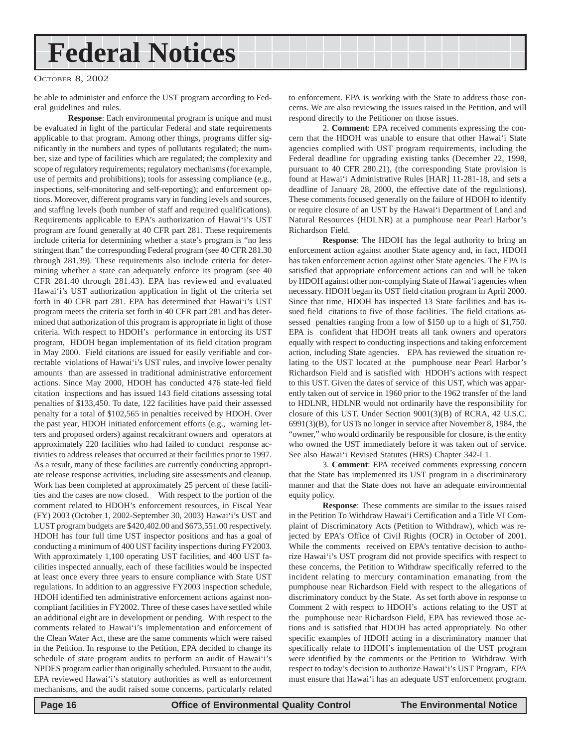#### OCTOBER 8, 2002

be able to administer and enforce the UST program according to Federal guidelines and rules.

**Response**: Each environmental program is unique and must be evaluated in light of the particular Federal and state requirements applicable to that program. Among other things, programs differ significantly in the numbers and types of pollutants regulated; the number, size and type of facilities which are regulated; the complexity and scope of regulatory requirements; regulatory mechanisms (for example, use of permits and prohibitions); tools for assessing compliance (e.g., inspections, self-monitoring and self-reporting); and enforcement options. Moreover, different programs vary in funding levels and sources, and staffing levels (both number of staff and required qualifications). Requirements applicable to EPA's authorization of Hawai'i's UST program are found generally at 40 CFR part 281. These requirements include criteria for determining whether a state's program is "no less stringent than" the corresponding Federal program (see 40 CFR 281.30 through 281.39). These requirements also include criteria for determining whether a state can adequately enforce its program (see 40 CFR 281.40 through 281.43). EPA has reviewed and evaluated Hawai'i's UST authorization application in light of the criteria set forth in 40 CFR part 281. EPA has determined that Hawai'i's UST program meets the criteria set forth in 40 CFR part 281 and has determined that authorization of this program is appropriate in light of those criteria. With respect to HDOH's performance in enforcing its UST program, HDOH began implementation of its field citation program in May 2000. Field citations are issued for easily verifiable and correctable violations of Hawai'i's UST rules, and involve lower penalty amounts than are assessed in traditional administrative enforcement actions. Since May 2000, HDOH has conducted 476 state-led field citation inspections and has issued 143 field citations assessing total penalties of \$133,450. To date, 122 facilities have paid their assessed penalty for a total of \$102,565 in penalties received by HDOH. Over the past year, HDOH initiated enforcement efforts (e.g., warning letters and proposed orders) against recalcitrant owners and operators at approximately 220 facilities who had failed to conduct response activities to address releases that occurred at their facilities prior to 1997. As a result, many of these facilities are currently conducting appropriate release response activities, including site assessments and cleanup. Work has been completed at approximately 25 percent of these facilities and the cases are now closed. With respect to the portion of the comment related to HDOH's enforcement resources, in Fiscal Year (FY) 2003 (October 1, 2002-September 30, 2003) Hawai'i's UST and LUST program budgets are \$420,402.00 and \$673,551.00 respectively. HDOH has four full time UST inspector positions and has a goal of conducting a minimum of 400 UST facility inspections during FY2003. With approximately 1,100 operating UST facilities, and 400 UST facilities inspected annually, each of these facilities would be inspected at least once every three years to ensure compliance with State UST regulations. In addition to an aggressive FY2003 inspection schedule, HDOH identified ten administrative enforcement actions against noncompliant facilities in FY2002. Three of these cases have settled while an additional eight are in development or pending. With respect to the comments related to Hawai'i's implementation and enforcement of the Clean Water Act, these are the same comments which were raised in the Petition. In response to the Petition, EPA decided to change its schedule of state program audits to perform an audit of Hawai'i's NPDES program earlier than originally scheduled. Pursuant to the audit, EPA reviewed Hawai'i's statutory authorities as well as enforcement mechanisms, and the audit raised some concerns, particularly related

to enforcement. EPA is working with the State to address those concerns. We are also reviewing the issues raised in the Petition, and will respond directly to the Petitioner on those issues.

2. **Comment**: EPA received comments expressing the concern that the HDOH was unable to ensure that other Hawai'i State agencies complied with UST program requirements, including the Federal deadline for upgrading existing tanks (December 22, 1998, pursuant to 40 CFR 280.21), (the corresponding State provision is found at Hawai'i Administrative Rules [HAR] 11-281-18, and sets a deadline of January 28, 2000, the effective date of the regulations). These comments focused generally on the failure of HDOH to identify or require closure of an UST by the Hawai'i Department of Land and Natural Resources (HDLNR) at a pumphouse near Pearl Harbor's Richardson Field.

**Response**: The HDOH has the legal authority to bring an enforcement action against another State agency and, in fact, HDOH has taken enforcement action against other State agencies. The EPA is satisfied that appropriate enforcement actions can and will be taken by HDOH against other non-complying State of Hawai'i agencies when necessary. HDOH began its UST field citation program in April 2000. Since that time, HDOH has inspected 13 State facilities and has issued field citations to five of those facilities. The field citations assessed penalties ranging from a low of \$150 up to a high of \$1,750. EPA is confident that HDOH treats all tank owners and operators equally with respect to conducting inspections and taking enforcement action, including State agencies. EPA has reviewed the situation relating to the UST located at the pumphouse near Pearl Harbor's Richardson Field and is satisfied with HDOH's actions with respect to this UST. Given the dates of service of this UST, which was apparently taken out of service in 1960 prior to the 1962 transfer of the land to HDLNR, HDLNR would not ordinarily have the responsibility for closure of this UST. Under Section 9001(3)(B) of RCRA, 42 U.S.C. 6991(3)(B), for USTs no longer in service after November 8, 1984, the "owner," who would ordinarily be responsible for closure, is the entity who owned the UST immediately before it was taken out of service. See also Hawai'i Revised Statutes (HRS) Chapter 342-L1.

3. **Comment**: EPA received comments expressing concern that the State has implemented its UST program in a discriminatory manner and that the State does not have an adequate environmental equity policy.

**Response**: These comments are similar to the issues raised in the Petition To Withdraw Hawai'i Certification and a Title VI Complaint of Discriminatory Acts (Petition to Withdraw), which was rejected by EPA's Office of Civil Rights (OCR) in October of 2001. While the comments received on EPA's tentative decision to authorize Hawai'i's UST program did not provide specifics with respect to these concerns, the Petition to Withdraw specifically referred to the incident relating to mercury contamination emanating from the pumphouse near Richardson Field with respect to the allegations of discriminatory conduct by the State. As set forth above in response to Comment 2 with respect to HDOH's actions relating to the UST at the pumphouse near Richardson Field, EPA has reviewed those actions and is satisfied that HDOH has acted appropriately. No other specific examples of HDOH acting in a discriminatory manner that specifically relate to HDOH's implementation of the UST program were identified by the comments or the Petition to Withdraw. With respect to today's decision to authorize Hawai'i's UST Program, EPA must ensure that Hawai'i has an adequate UST enforcement program.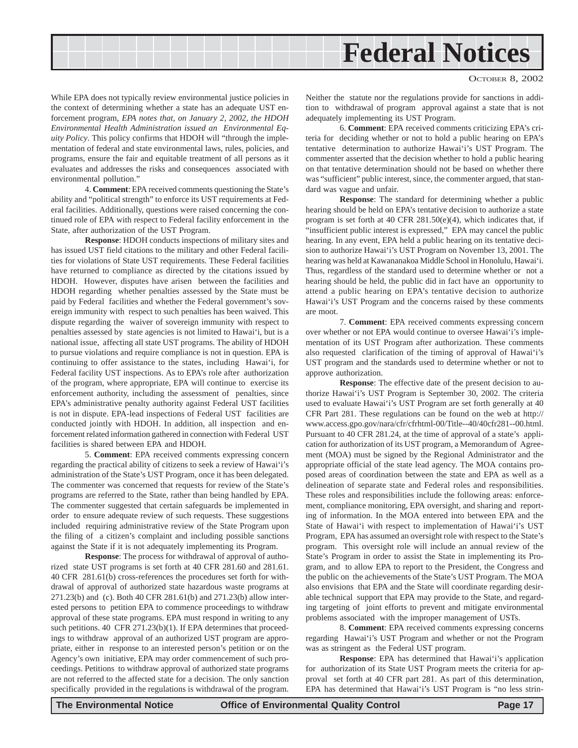While EPA does not typically review environmental justice policies in the context of determining whether a state has an adequate UST enforcement program, *EPA notes that, on January 2, 2002, the HDOH Environmental Health Administration issued an Environmental Equity Policy*. This policy confirms that HDOH will "through the implementation of federal and state environmental laws, rules, policies, and programs, ensure the fair and equitable treatment of all persons as it evaluates and addresses the risks and consequences associated with environmental pollution."

4. **Comment**: EPA received comments questioning the State's ability and "political strength" to enforce its UST requirements at Federal facilities. Additionally, questions were raised concerning the continued role of EPA with respect to Federal facility enforcement in the State, after authorization of the UST Program.

**Response**: HDOH conducts inspections of military sites and has issued UST field citations to the military and other Federal facilities for violations of State UST requirements. These Federal facilities have returned to compliance as directed by the citations issued by HDOH. However, disputes have arisen between the facilities and HDOH regarding whether penalties assessed by the State must be paid by Federal facilities and whether the Federal government's sovereign immunity with respect to such penalties has been waived. This dispute regarding the waiver of sovereign immunity with respect to penalties assessed by state agencies is not limited to Hawai'i, but is a national issue, affecting all state UST programs. The ability of HDOH to pursue violations and require compliance is not in question. EPA is continuing to offer assistance to the states, including Hawai'i, for Federal facility UST inspections. As to EPA's role after authorization of the program, where appropriate, EPA will continue to exercise its enforcement authority, including the assessment of penalties, since EPA's administrative penalty authority against Federal UST facilities is not in dispute. EPA-lead inspections of Federal UST facilities are conducted jointly with HDOH. In addition, all inspection and enforcement related information gathered in connection with Federal UST facilities is shared between EPA and HDOH.

5. **Comment**: EPA received comments expressing concern regarding the practical ability of citizens to seek a review of Hawai'i's administration of the State's UST Program, once it has been delegated. The commenter was concerned that requests for review of the State's programs are referred to the State, rather than being handled by EPA. The commenter suggested that certain safeguards be implemented in order to ensure adequate review of such requests. These suggestions included requiring administrative review of the State Program upon the filing of a citizen's complaint and including possible sanctions against the State if it is not adequately implementing its Program.

**Response**: The process for withdrawal of approval of authorized state UST programs is set forth at 40 CFR 281.60 and 281.61. 40 CFR 281.61(b) cross-references the procedures set forth for withdrawal of approval of authorized state hazardous waste programs at 271.23(b) and (c). Both 40 CFR 281.61(b) and 271.23(b) allow interested persons to petition EPA to commence proceedings to withdraw approval of these state programs. EPA must respond in writing to any such petitions. 40 CFR 271.23(b)(1). If EPA determines that proceedings to withdraw approval of an authorized UST program are appropriate, either in response to an interested person's petition or on the Agency's own initiative, EPA may order commencement of such proceedings. Petitions to withdraw approval of authorized state programs are not referred to the affected state for a decision. The only sanction specifically provided in the regulations is withdrawal of the program.

Neither the statute nor the regulations provide for sanctions in addition to withdrawal of program approval against a state that is not adequately implementing its UST Program.

6. **Comment**: EPA received comments criticizing EPA's criteria for deciding whether or not to hold a public hearing on EPA's tentative determination to authorize Hawai'i's UST Program. The commenter asserted that the decision whether to hold a public hearing on that tentative determination should not be based on whether there was "sufficient" public interest, since, the commenter argued, that standard was vague and unfair.

**Response**: The standard for determining whether a public hearing should be held on EPA's tentative decision to authorize a state program is set forth at 40 CFR 281.50(e)(4), which indicates that, if "insufficient public interest is expressed," EPA may cancel the public hearing. In any event, EPA held a public hearing on its tentative decision to authorize Hawai'i's UST Program on November 13, 2001. The hearing was held at Kawananakoa Middle School in Honolulu, Hawai'i. Thus, regardless of the standard used to determine whether or not a hearing should be held, the public did in fact have an opportunity to attend a public hearing on EPA's tentative decision to authorize Hawai'i's UST Program and the concerns raised by these comments are moot.

7. **Comment**: EPA received comments expressing concern over whether or not EPA would continue to oversee Hawai'i's implementation of its UST Program after authorization. These comments also requested clarification of the timing of approval of Hawai'i's UST program and the standards used to determine whether or not to approve authorization.

**Response**: The effective date of the present decision to authorize Hawai'i's UST Program is September 30, 2002. The criteria used to evaluate Hawai'i's UST Program are set forth generally at 40 CFR Part 281. These regulations can be found on the web at http:// www.access.gpo.gov/nara/cfr/cfrhtml-00/Title--40/40cfr281--00.html. Pursuant to 40 CFR 281.24, at the time of approval of a state's application for authorization of its UST program, a Memorandum of Agreement (MOA) must be signed by the Regional Administrator and the appropriate official of the state lead agency. The MOA contains proposed areas of coordination between the state and EPA as well as a delineation of separate state and Federal roles and responsibilities. These roles and responsibilities include the following areas: enforcement, compliance monitoring, EPA oversight, and sharing and reporting of information. In the MOA entered into between EPA and the State of Hawai'i with respect to implementation of Hawai'i's UST Program, EPA has assumed an oversight role with respect to the State's program. This oversight role will include an annual review of the State's Program in order to assist the State in implementing its Program, and to allow EPA to report to the President, the Congress and the public on the achievements of the State's UST Program. The MOA also envisions that EPA and the State will coordinate regarding desirable technical support that EPA may provide to the State, and regarding targeting of joint efforts to prevent and mitigate environmental problems associated with the improper management of USTs.

8. **Comment**: EPA received comments expressing concerns regarding Hawai'i's UST Program and whether or not the Program was as stringent as the Federal UST program.

**Response**: EPA has determined that Hawai'i's application for authorization of its State UST Program meets the criteria for approval set forth at 40 CFR part 281. As part of this determination, EPA has determined that Hawai'i's UST Program is "no less strin-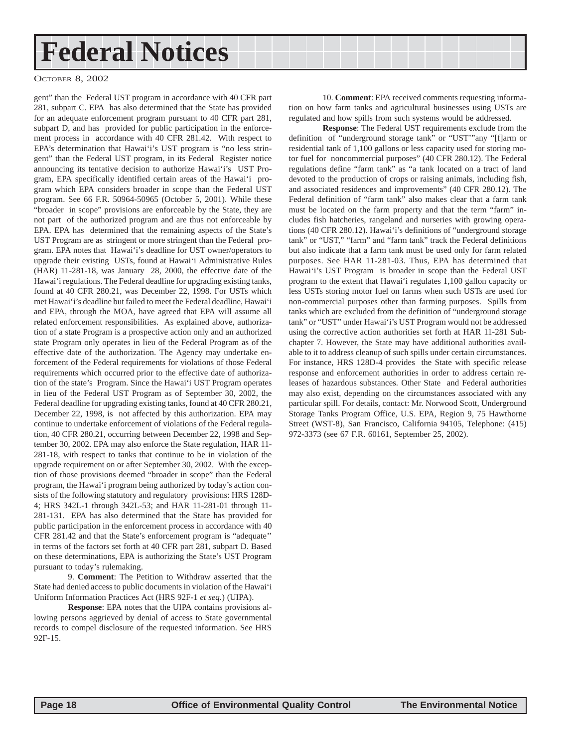#### OCTOBER 8, 2002

gent" than the Federal UST program in accordance with 40 CFR part 281, subpart C. EPA has also determined that the State has provided for an adequate enforcement program pursuant to 40 CFR part 281, subpart D, and has provided for public participation in the enforcement process in accordance with 40 CFR 281.42. With respect to EPA's determination that Hawai'i's UST program is "no less stringent" than the Federal UST program, in its Federal Register notice announcing its tentative decision to authorize Hawai'i's UST Program, EPA specifically identified certain areas of the Hawai'i program which EPA considers broader in scope than the Federal UST program. See 66 F.R. 50964-50965 (October 5, 2001). While these "broader in scope" provisions are enforceable by the State, they are not part of the authorized program and are thus not enforceable by EPA. EPA has determined that the remaining aspects of the State's UST Program are as stringent or more stringent than the Federal program. EPA notes that Hawai'i's deadline for UST owner/operators to upgrade their existing USTs, found at Hawai'i Administrative Rules (HAR) 11-281-18, was January 28, 2000, the effective date of the Hawai'i regulations. The Federal deadline for upgrading existing tanks, found at 40 CFR 280.21, was December 22, 1998. For USTs which met Hawai'i's deadline but failed to meet the Federal deadline, Hawai'i and EPA, through the MOA, have agreed that EPA will assume all related enforcement responsibilities. As explained above, authorization of a state Program is a prospective action only and an authorized state Program only operates in lieu of the Federal Program as of the effective date of the authorization. The Agency may undertake enforcement of the Federal requirements for violations of those Federal requirements which occurred prior to the effective date of authorization of the state's Program. Since the Hawai'i UST Program operates in lieu of the Federal UST Program as of September 30, 2002, the Federal deadline for upgrading existing tanks, found at 40 CFR 280.21, December 22, 1998, is not affected by this authorization. EPA may continue to undertake enforcement of violations of the Federal regulation, 40 CFR 280.21, occurring between December 22, 1998 and September 30, 2002. EPA may also enforce the State regulation, HAR 11- 281-18, with respect to tanks that continue to be in violation of the upgrade requirement on or after September 30, 2002. With the exception of those provisions deemed "broader in scope" than the Federal program, the Hawai'i program being authorized by today's action consists of the following statutory and regulatory provisions: HRS 128D-4; HRS 342L-1 through 342L-53; and HAR 11-281-01 through 11- 281-131. EPA has also determined that the State has provided for public participation in the enforcement process in accordance with 40 CFR 281.42 and that the State's enforcement program is "adequate'' in terms of the factors set forth at 40 CFR part 281, subpart D. Based on these determinations, EPA is authorizing the State's UST Program pursuant to today's rulemaking.

9. **Comment**: The Petition to Withdraw asserted that the State had denied access to public documents in violation of the Hawai'i Uniform Information Practices Act (HRS 92F-1 *et seq.*) (UIPA).

**Response**: EPA notes that the UIPA contains provisions allowing persons aggrieved by denial of access to State governmental records to compel disclosure of the requested information. See HRS 92F-15.

10. **Comment**: EPA received comments requesting information on how farm tanks and agricultural businesses using USTs are regulated and how spills from such systems would be addressed.

**Response**: The Federal UST requirements exclude from the definition of "underground storage tank" or "UST'"any "[f]arm or residential tank of 1,100 gallons or less capacity used for storing motor fuel for noncommercial purposes" (40 CFR 280.12). The Federal regulations define "farm tank" as "a tank located on a tract of land devoted to the production of crops or raising animals, including fish, and associated residences and improvements" (40 CFR 280.12). The Federal definition of "farm tank" also makes clear that a farm tank must be located on the farm property and that the term "farm" includes fish hatcheries, rangeland and nurseries with growing operations (40 CFR 280.12). Hawai'i's definitions of "underground storage tank" or "UST," "farm" and "farm tank" track the Federal definitions but also indicate that a farm tank must be used only for farm related purposes. See HAR 11-281-03. Thus, EPA has determined that Hawai'i's UST Program is broader in scope than the Federal UST program to the extent that Hawai'i regulates 1,100 gallon capacity or less USTs storing motor fuel on farms when such USTs are used for non-commercial purposes other than farming purposes. Spills from tanks which are excluded from the definition of "underground storage tank" or "UST" under Hawai'i's UST Program would not be addressed using the corrective action authorities set forth at HAR 11-281 Subchapter 7. However, the State may have additional authorities available to it to address cleanup of such spills under certain circumstances. For instance, HRS 128D-4 provides the State with specific release response and enforcement authorities in order to address certain releases of hazardous substances. Other State and Federal authorities may also exist, depending on the circumstances associated with any particular spill. For details, contact: Mr. Norwood Scott, Underground Storage Tanks Program Office, U.S. EPA, Region 9, 75 Hawthorne Street (WST-8), San Francisco, California 94105, Telephone: (415) 972-3373 (see 67 F.R. 60161, September 25, 2002).